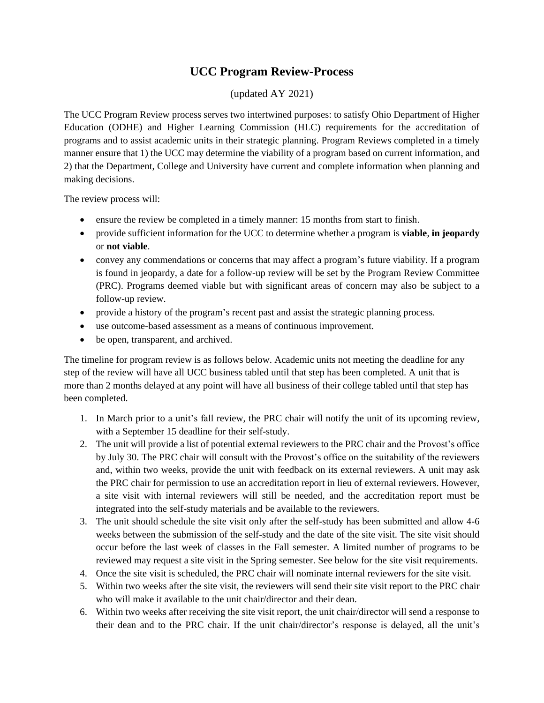## **UCC Program Review-Process**

## (updated AY 2021)

The UCC Program Review process serves two intertwined purposes: to satisfy Ohio Department of Higher Education (ODHE) and Higher Learning Commission (HLC) requirements for the accreditation of programs and to assist academic units in their strategic planning. Program Reviews completed in a timely manner ensure that 1) the UCC may determine the viability of a program based on current information, and 2) that the Department, College and University have current and complete information when planning and making decisions.

The review process will:

- ensure the review be completed in a timely manner: 15 months from start to finish.
- provide sufficient information for the UCC to determine whether a program is **viable**, **in jeopardy** or **not viable**.
- convey any commendations or concerns that may affect a program's future viability. If a program is found in jeopardy, a date for a follow-up review will be set by the Program Review Committee (PRC). Programs deemed viable but with significant areas of concern may also be subject to a follow-up review.
- provide a history of the program's recent past and assist the strategic planning process.
- use outcome-based assessment as a means of continuous improvement.
- be open, transparent, and archived.

The timeline for program review is as follows below. Academic units not meeting the deadline for any step of the review will have all UCC business tabled until that step has been completed. A unit that is more than 2 months delayed at any point will have all business of their college tabled until that step has been completed.

- 1. In March prior to a unit's fall review, the PRC chair will notify the unit of its upcoming review, with a September 15 deadline for their self-study.
- 2. The unit will provide a list of potential external reviewers to the PRC chair and the Provost's office by July 30. The PRC chair will consult with the Provost's office on the suitability of the reviewers and, within two weeks, provide the unit with feedback on its external reviewers. A unit may ask the PRC chair for permission to use an accreditation report in lieu of external reviewers. However, a site visit with internal reviewers will still be needed, and the accreditation report must be integrated into the self-study materials and be available to the reviewers.
- 3. The unit should schedule the site visit only after the self-study has been submitted and allow 4-6 weeks between the submission of the self-study and the date of the site visit. The site visit should occur before the last week of classes in the Fall semester. A limited number of programs to be reviewed may request a site visit in the Spring semester. See below for the site visit requirements.
- 4. Once the site visit is scheduled, the PRC chair will nominate internal reviewers for the site visit.
- 5. Within two weeks after the site visit, the reviewers will send their site visit report to the PRC chair who will make it available to the unit chair/director and their dean.
- 6. Within two weeks after receiving the site visit report, the unit chair/director will send a response to their dean and to the PRC chair. If the unit chair/director's response is delayed, all the unit's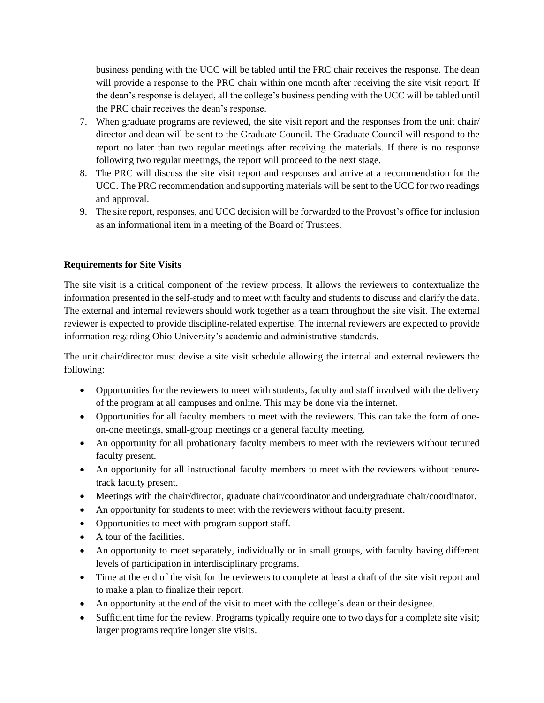business pending with the UCC will be tabled until the PRC chair receives the response. The dean will provide a response to the PRC chair within one month after receiving the site visit report. If the dean's response is delayed, all the college's business pending with the UCC will be tabled until the PRC chair receives the dean's response.

- 7. When graduate programs are reviewed, the site visit report and the responses from the unit chair/ director and dean will be sent to the Graduate Council. The Graduate Council will respond to the report no later than two regular meetings after receiving the materials. If there is no response following two regular meetings, the report will proceed to the next stage.
- 8. The PRC will discuss the site visit report and responses and arrive at a recommendation for the UCC. The PRC recommendation and supporting materials will be sent to the UCC for two readings and approval.
- 9. The site report, responses, and UCC decision will be forwarded to the Provost's office for inclusion as an informational item in a meeting of the Board of Trustees.

## **Requirements for Site Visits**

The site visit is a critical component of the review process. It allows the reviewers to contextualize the information presented in the self-study and to meet with faculty and students to discuss and clarify the data. The external and internal reviewers should work together as a team throughout the site visit. The external reviewer is expected to provide discipline-related expertise. The internal reviewers are expected to provide information regarding Ohio University's academic and administrative standards.

The unit chair/director must devise a site visit schedule allowing the internal and external reviewers the following:

- Opportunities for the reviewers to meet with students, faculty and staff involved with the delivery of the program at all campuses and online. This may be done via the internet.
- Opportunities for all faculty members to meet with the reviewers. This can take the form of oneon-one meetings, small-group meetings or a general faculty meeting.
- An opportunity for all probationary faculty members to meet with the reviewers without tenured faculty present.
- An opportunity for all instructional faculty members to meet with the reviewers without tenuretrack faculty present.
- Meetings with the chair/director, graduate chair/coordinator and undergraduate chair/coordinator.
- An opportunity for students to meet with the reviewers without faculty present.
- Opportunities to meet with program support staff.
- A tour of the facilities.
- An opportunity to meet separately, individually or in small groups, with faculty having different levels of participation in interdisciplinary programs.
- Time at the end of the visit for the reviewers to complete at least a draft of the site visit report and to make a plan to finalize their report.
- An opportunity at the end of the visit to meet with the college's dean or their designee.
- Sufficient time for the review. Programs typically require one to two days for a complete site visit; larger programs require longer site visits.